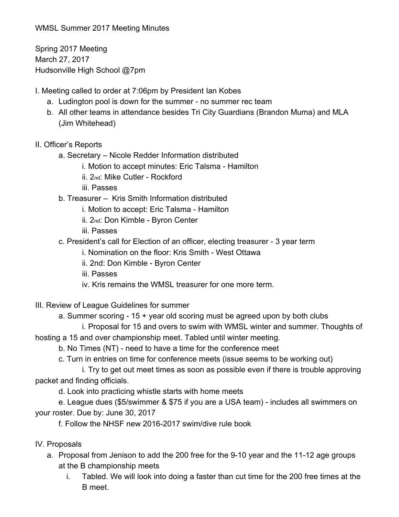WMSL Summer 2017 Meeting Minutes

Spring 2017 Meeting March 27, 2017 Hudsonville High School @7pm

- I. Meeting called to order at 7:06pm by President Ian Kobes
	- a. Ludington pool is down for the summer no summer rec team
	- b. All other teams in attendance besides Tri City Guardians (Brandon Muma) and MLA (Jim Whitehead)
- II. Officer's Reports
	- a. Secretary Nicole Redder Information distributed
		- i. Motion to accept minutes: Eric Talsma Hamilton
		- ii. 2nd: Mike Cutler Rockford
		- iii. Passes
	- b. Treasurer Kris Smith Information distributed
		- i. Motion to accept: Eric Talsma Hamilton
		- ii. 2nd: Don Kimble Byron Center
		- iii. Passes
	- c. President's call for Election of an officer, electing treasurer 3 year term
		- i. Nomination on the floor: Kris Smith West Ottawa
		- ii. 2nd: Don Kimble Byron Center
		- iii. Passes
		- iv. Kris remains the WMSL treasurer for one more term.
- III. Review of League Guidelines for summer
	- a. Summer scoring 15 + year old scoring must be agreed upon by both clubs
- i. Proposal for 15 and overs to swim with WMSL winter and summer. Thoughts of hosting a 15 and over championship meet. Tabled until winter meeting.
	- b. No Times (NT) need to have a time for the conference meet
	- c. Turn in entries on time for conference meets (issue seems to be working out)
- i. Try to get out meet times as soon as possible even if there is trouble approving packet and finding officials.
	- d. Look into practicing whistle starts with home meets
- e. League dues (\$5/swimmer & \$75 if you are a USA team) includes all swimmers on your roster. Due by: June 30, 2017
	- f. Follow the NHSF new 2016-2017 swim/dive rule book
- IV. Proposals
	- a. Proposal from Jenison to add the 200 free for the 9-10 year and the 11-12 age groups at the B championship meets
		- i. Tabled. We will look into doing a faster than cut time for the 200 free times at the B meet.